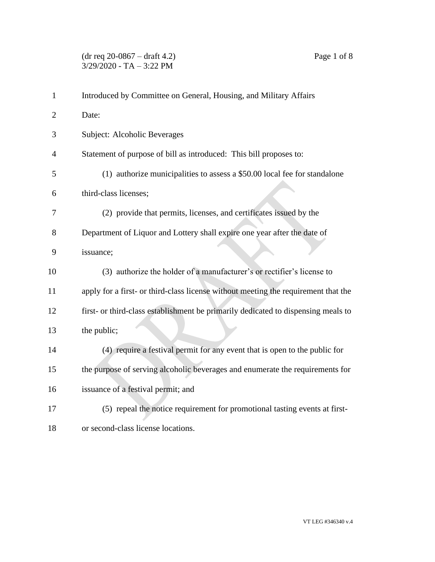| $\mathbf{1}$   | Introduced by Committee on General, Housing, and Military Affairs                  |
|----------------|------------------------------------------------------------------------------------|
| $\overline{2}$ | Date:                                                                              |
| 3              | Subject: Alcoholic Beverages                                                       |
| 4              | Statement of purpose of bill as introduced: This bill proposes to:                 |
| 5              | (1) authorize municipalities to assess a \$50.00 local fee for standalone          |
| 6              | third-class licenses;                                                              |
| 7              | (2) provide that permits, licenses, and certificates issued by the                 |
| 8              | Department of Liquor and Lottery shall expire one year after the date of           |
| 9              | issuance;                                                                          |
| 10             | (3) authorize the holder of a manufacturer's or rectifier's license to             |
| 11             | apply for a first- or third-class license without meeting the requirement that the |
| 12             | first- or third-class establishment be primarily dedicated to dispensing meals to  |
| 13             | the public;                                                                        |
| 14             | (4) require a festival permit for any event that is open to the public for         |
| 15             | the purpose of serving alcoholic beverages and enumerate the requirements for      |
| 16             | issuance of a festival permit; and                                                 |
| 17             | (5) repeal the notice requirement for promotional tasting events at first-         |
| 18             | or second-class license locations.                                                 |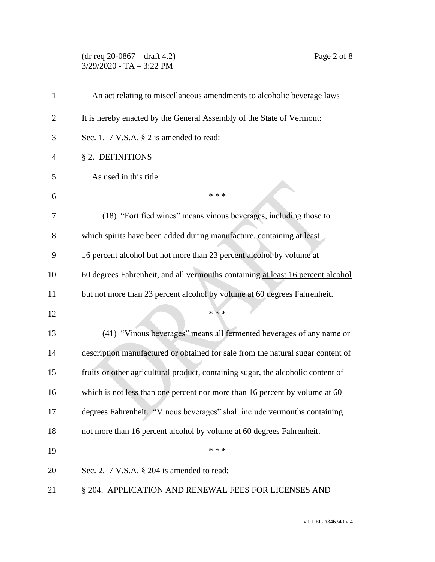(dr req 20-0867 – draft 4.2) Page 2 of 8  $3/29/2020$  - TA - 3:22 PM

| $\mathbf{1}$   | An act relating to miscellaneous amendments to alcoholic beverage laws           |
|----------------|----------------------------------------------------------------------------------|
| $\overline{2}$ | It is hereby enacted by the General Assembly of the State of Vermont:            |
| 3              | Sec. 1. $7$ V.S.A. $\S$ 2 is amended to read:                                    |
| 4              | § 2. DEFINITIONS                                                                 |
| 5              | As used in this title:                                                           |
| 6              | * * *                                                                            |
| 7              | (18) "Fortified wines" means vinous beverages, including those to                |
| 8              | which spirits have been added during manufacture, containing at least            |
| 9              | 16 percent alcohol but not more than 23 percent alcohol by volume at             |
| 10             | 60 degrees Fahrenheit, and all vermouths containing at least 16 percent alcohol  |
| 11             | but not more than 23 percent alcohol by volume at 60 degrees Fahrenheit.         |
| 12             | * * *                                                                            |
| 13             | (41) "Vinous beverages" means all fermented beverages of any name or             |
| 14             | description manufactured or obtained for sale from the natural sugar content of  |
| 15             | fruits or other agricultural product, containing sugar, the alcoholic content of |
| 16             | which is not less than one percent nor more than 16 percent by volume at 60      |
| 17             | degrees Fahrenheit. "Vinous beverages" shall include vermouths containing        |
| 18             | not more than 16 percent alcohol by volume at 60 degrees Fahrenheit.             |
| 19             | * * *                                                                            |
| 20             | Sec. 2. $7 \text{ V.S.A. }$ § 204 is amended to read:                            |
| 21             | § 204. APPLICATION AND RENEWAL FEES FOR LICENSES AND                             |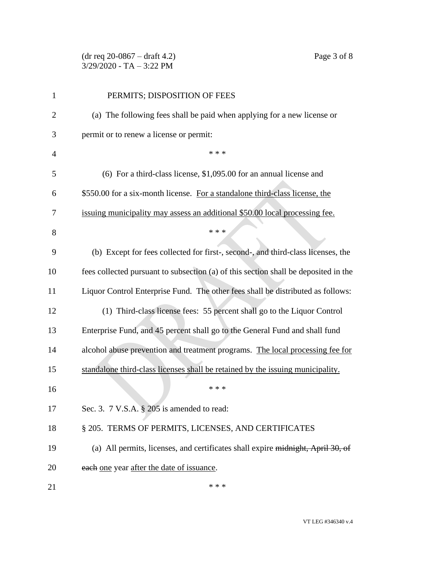(dr req 20-0867 – draft 4.2) Page 3 of 8  $3/29/2020$  - TA - 3:22 PM

| 1              | PERMITS; DISPOSITION OF FEES                                                        |
|----------------|-------------------------------------------------------------------------------------|
| $\overline{2}$ | (a) The following fees shall be paid when applying for a new license or             |
| 3              | permit or to renew a license or permit:                                             |
| $\overline{4}$ | * * *                                                                               |
| 5              | (6) For a third-class license, \$1,095.00 for an annual license and                 |
| 6              | \$550.00 for a six-month license. For a standalone third-class license, the         |
| 7              | issuing municipality may assess an additional \$50.00 local processing fee.         |
| 8              | * * *                                                                               |
| 9              | (b) Except for fees collected for first-, second-, and third-class licenses, the    |
| 10             | fees collected pursuant to subsection (a) of this section shall be deposited in the |
| 11             | Liquor Control Enterprise Fund. The other fees shall be distributed as follows:     |
| 12             | (1) Third-class license fees: 55 percent shall go to the Liquor Control             |
| 13             | Enterprise Fund, and 45 percent shall go to the General Fund and shall fund         |
| 14             | alcohol abuse prevention and treatment programs. The local processing fee for       |
| 15             | standalone third-class licenses shall be retained by the issuing municipality.      |
| 16             | * * *                                                                               |
| 17             | Sec. 3. 7 V.S.A. § 205 is amended to read:                                          |
| 18             | § 205. TERMS OF PERMITS, LICENSES, AND CERTIFICATES                                 |
| 19             | (a) All permits, licenses, and certificates shall expire midnight, April 30, of     |
| 20             | each one year after the date of issuance.                                           |
| 21             | * * *                                                                               |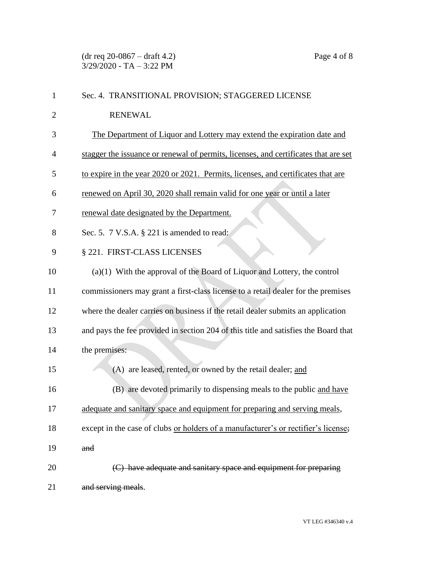(dr req 20-0867 – draft 4.2) Page 4 of 8  $3/29/2020$  - TA - 3:22 PM

| 1              | Sec. 4. TRANSITIONAL PROVISION; STAGGERED LICENSE                                   |
|----------------|-------------------------------------------------------------------------------------|
| $\overline{2}$ | <b>RENEWAL</b>                                                                      |
| 3              | The Department of Liquor and Lottery may extend the expiration date and             |
| 4              | stagger the issuance or renewal of permits, licenses, and certificates that are set |
| 5              | to expire in the year 2020 or 2021. Permits, licenses, and certificates that are    |
| 6              | renewed on April 30, 2020 shall remain valid for one year or until a later          |
| 7              | renewal date designated by the Department.                                          |
| 8              | Sec. 5. 7 V.S.A. § 221 is amended to read:                                          |
| 9              | § 221. FIRST-CLASS LICENSES                                                         |
| 10             | $(a)(1)$ With the approval of the Board of Liquor and Lottery, the control          |
| 11             | commissioners may grant a first-class license to a retail dealer for the premises   |
| 12             | where the dealer carries on business if the retail dealer submits an application    |
| 13             | and pays the fee provided in section 204 of this title and satisfies the Board that |
| 14             | the premises:                                                                       |
| 15             | (A) are leased, rented, or owned by the retail dealer; and                          |
| 16             | (B) are devoted primarily to dispensing meals to the public and have                |
| 17             | adequate and sanitary space and equipment for preparing and serving meals,          |
| 18             | except in the case of clubs or holders of a manufacturer's or rectifier's license;  |
| 19             | and                                                                                 |
| 20             | (C) have adequate and sanitary space and equipment for preparing                    |
| 21             | and serving meals.                                                                  |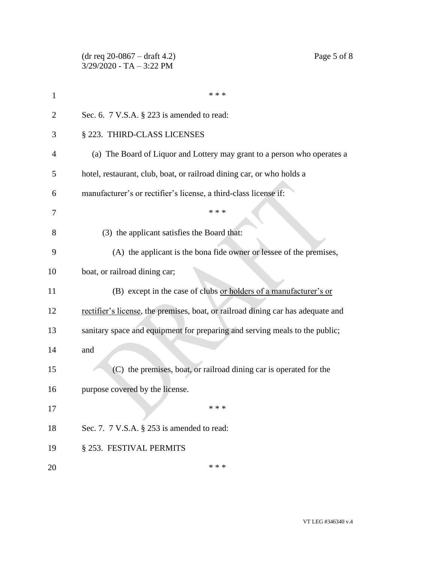|                | $(dr \text{ req } 20-0867 - draft 4.2)$<br>Page 5 of 8<br>$3/29/2020$ - TA $-3:22$ PM |
|----------------|---------------------------------------------------------------------------------------|
| $\mathbf{1}$   | * * *                                                                                 |
| $\overline{2}$ | Sec. 6. $7$ V.S.A. $\S$ 223 is amended to read:                                       |
| 3              | § 223. THIRD-CLASS LICENSES                                                           |
| $\overline{4}$ | (a) The Board of Liquor and Lottery may grant to a person who operates a              |
| 5              | hotel, restaurant, club, boat, or railroad dining car, or who holds a                 |
| 6              | manufacturer's or rectifier's license, a third-class license if:                      |
| 7              | * * *                                                                                 |
| 8              | (3) the applicant satisfies the Board that:                                           |
| 9              | (A) the applicant is the bona fide owner or lessee of the premises,                   |
| 10             | boat, or railroad dining car;                                                         |
| 11             | (B) except in the case of clubs or holders of a manufacturer's or                     |
| 12             | rectifier's license, the premises, boat, or railroad dining car has adequate and      |
| 13             | sanitary space and equipment for preparing and serving meals to the public;           |
| 14             | and                                                                                   |
| 15             | (C) the premises, boat, or railroad dining car is operated for the                    |
| 16             | purpose covered by the license.                                                       |
| 17             | * * *                                                                                 |
| 18             | Sec. 7. 7 V.S.A. § 253 is amended to read:                                            |
| 19             | § 253. FESTIVAL PERMITS                                                               |
| 20             | * * *                                                                                 |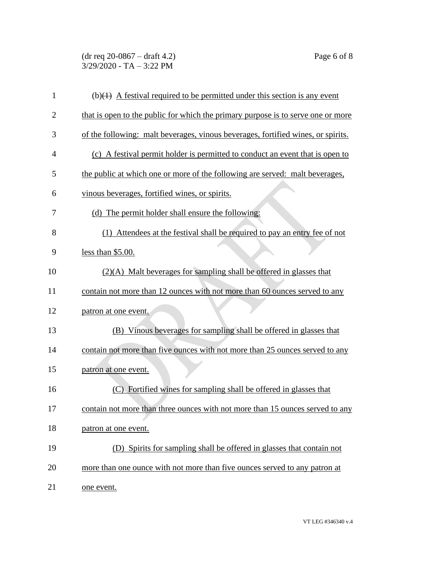(dr req 20-0867 – draft 4.2) Page 6 of 8  $3/29/2020$  - TA - 3:22 PM

| 1              | $(b)(1)$ A festival required to be permitted under this section is any event     |
|----------------|----------------------------------------------------------------------------------|
| $\overline{2}$ | that is open to the public for which the primary purpose is to serve one or more |
| 3              | of the following: malt beverages, vinous beverages, fortified wines, or spirits. |
| $\overline{4}$ | (c) A festival permit holder is permitted to conduct an event that is open to    |
| 5              | the public at which one or more of the following are served: malt beverages,     |
| 6              | vinous beverages, fortified wines, or spirits.                                   |
| 7              | (d) The permit holder shall ensure the following:                                |
| 8              | (1) Attendees at the festival shall be required to pay an entry fee of not       |
| 9              | less than \$5.00.                                                                |
| 10             | $(2)(A)$ Malt beverages for sampling shall be offered in glasses that            |
| 11             | contain not more than 12 ounces with not more than 60 ounces served to any       |
| 12             | patron at one event.                                                             |
| 13             | (B) Vinous beverages for sampling shall be offered in glasses that               |
| 14             | contain not more than five ounces with not more than 25 ounces served to any     |
| 15             | patron at one event.                                                             |
| 16             | (C) Fortified wines for sampling shall be offered in glasses that                |
| 17             | contain not more than three ounces with not more than 15 ounces served to any    |
| 18             | patron at one event.                                                             |
| 19             | (D) Spirits for sampling shall be offered in glasses that contain not            |
| 20             | more than one ounce with not more than five ounces served to any patron at       |
| 21             | one event.                                                                       |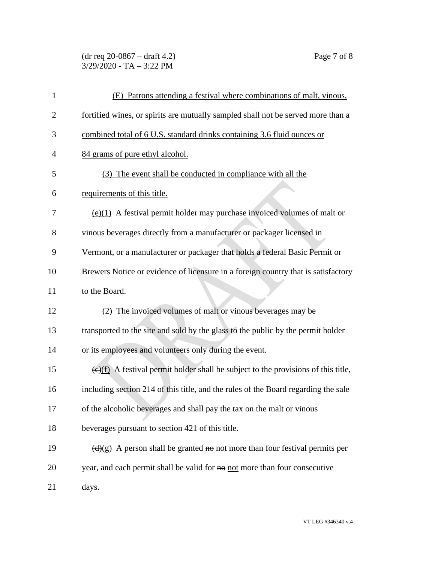## (dr req 20-0867 – draft 4.2) Page 7 of 8  $3/29/2020$  - TA - 3:22 PM

| $\mathbf{1}$   | (E) Patrons attending a festival where combinations of malt, vinous,                            |
|----------------|-------------------------------------------------------------------------------------------------|
| $\overline{2}$ | fortified wines, or spirits are mutually sampled shall not be served more than a                |
| 3              | combined total of 6 U.S. standard drinks containing 3.6 fluid ounces or                         |
| $\overline{4}$ | 84 grams of pure ethyl alcohol.                                                                 |
| 5              | (3) The event shall be conducted in compliance with all the                                     |
| 6              | requirements of this title.                                                                     |
| 7              | $(e)(1)$ A festival permit holder may purchase invoiced volumes of malt or                      |
| 8              | vinous beverages directly from a manufacturer or packager licensed in                           |
| 9              | Vermont, or a manufacturer or packager that holds a federal Basic Permit or                     |
| 10             | Brewers Notice or evidence of licensure in a foreign country that is satisfactory               |
| 11             | to the Board.                                                                                   |
| 12             | (2) The invoiced volumes of malt or vinous beverages may be                                     |
| 13             | transported to the site and sold by the glass to the public by the permit holder                |
| 14             | or its employees and volunteers only during the event.                                          |
| 15             | $\overline{(e)(f)}$ A festival permit holder shall be subject to the provisions of this title,  |
| 16             | including section 214 of this title, and the rules of the Board regarding the sale              |
| 17             | of the alcoholic beverages and shall pay the tax on the malt or vinous                          |
| 18             | beverages pursuant to section 421 of this title.                                                |
| 19             | $\left(\frac{d}{g}\right)$ A person shall be granted no not more than four festival permits per |
| 20             | year, and each permit shall be valid for no not more than four consecutive                      |
| 21             | days.                                                                                           |